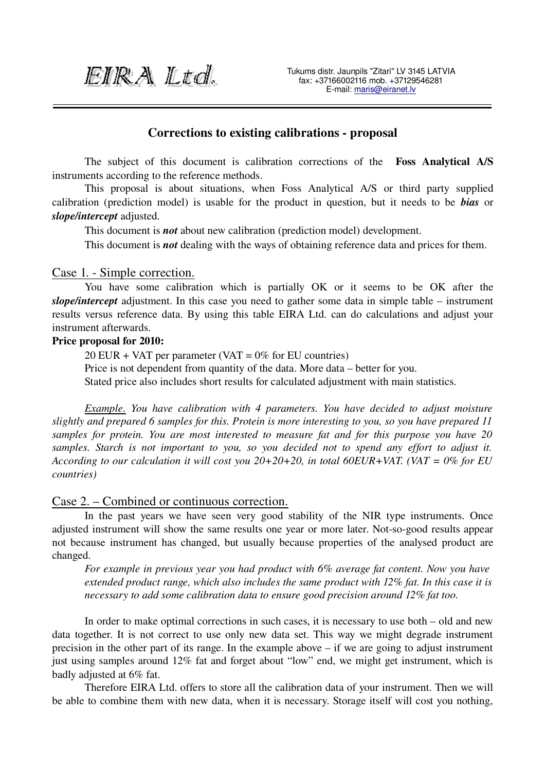EIRA Ltd.

## Corrections to existing calibrations - proposal

The subject of this document is calibration corrections of the Foss Analytical A/S instruments according to the reference methods.

This proposal is about situations, when Foss Analytical A/S or third party supplied calibration (prediction model) is usable for the product in question, but it needs to be *bias* or *slope/intercept* adjusted.

This document is *not* about new calibration (prediction model) development.

This document is *not* dealing with the ways of obtaining reference data and prices for them.

#### Case 1. - Simple correction.

You have some calibration which is partially OK or it seems to be OK after the *slope/intercept* adjustment. In this case you need to gather some data in simple table – instrument results versus reference data. By using this table EIRA Ltd. can do calculations and adjust your instrument afterwards.

#### Price proposal for 2010:

 $20$  EUR + VAT per parameter (VAT =  $0\%$  for EU countries) Price is not dependent from quantity of the data. More data – better for you. Stated price also includes short results for calculated adjustment with main statistics.

*Example. You have calibration with 4 parameters. You have decided to adjust moisture slightly and prepared 6 samples for this. Protein is more interesting to you, so you have prepared 11 samples for protein. You are most interested to measure fat and for this purpose you have 20 samples. Starch is not important to you, so you decided not to spend any effort to adjust it. According to our calculation it will cost you 20+20+20, in total 60EUR+VAT. (VAT = 0% for EU countries)*

### Case 2. – Combined or continuous correction.

In the past years we have seen very good stability of the NIR type instruments. Once adjusted instrument will show the same results one year or more later. Not-so-good results appear not because instrument has changed, but usually because properties of the analysed product are changed.

*For example in previous year you had product with 6% average fat content. Now you have extended product range, which also includes the same product with 12% fat. In this case it is necessary to add some calibration data to ensure good precision around 12% fat too.*

In order to make optimal corrections in such cases, it is necessary to use both – old and new data together. It is not correct to use only new data set. This way we might degrade instrument precision in the other part of its range. In the example above – if we are going to adjust instrument just using samples around 12% fat and forget about "low" end, we might get instrument, which is badly adjusted at 6% fat.

Therefore EIRA Ltd. offers to store all the calibration data of your instrument. Then we will be able to combine them with new data, when it is necessary. Storage itself will cost you nothing,